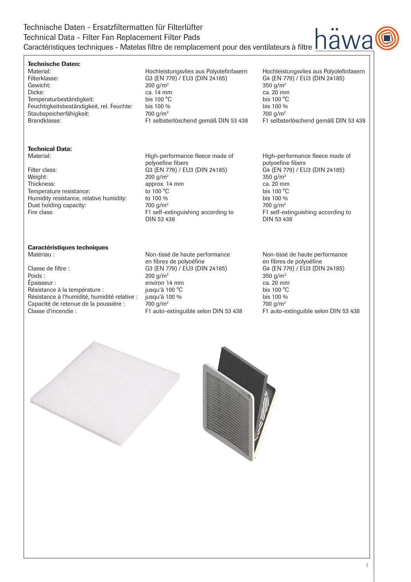## Technische Daten - Ersatzfiltermatten für Filterlüfter Technical Data - Filter Fan Replacement Filter Pads Caractéristiques techniques - Matelas filtre de remplacement pour des ventilateurs à filtre

### Technische Daten:

# **Technical Data:**<br>Material:

Filter class: G3 (EN 779) / EU3 (DIN 24185) G4 (EN 7<br>Weight: 200 g/m<sup>2</sup> 200 g/m<sup>2</sup> 350 g/m<sup>2</sup> 350 g/m<sup>2</sup> Weight:  $200 \text{ g/m}^2$  and  $200 \text{ g/m}^2$  and  $200 \text{ g/m}^2$  and  $200 \text{ g/m}^2$  and  $250 \text{ g/m}^2$ Thickness: approx. 14 mm ca. 20 mm ca. 20 mm Temperature resistance: to 100 °C bis 100 °C Humidity resistance, relative humidity: to 100 % bis 100 % bis 100 % Dust holding capacity:  $700 \frac{g}{m^2}$  700 g/m<sup>2</sup> 700 g/m<sup>2</sup>

# **Caractéristiques techniques**<br>Matériau :

Classe de filtre : G3 (EN 779) / EU3 (DIN 24185) G4 (EN 779) / EU3 (DIN 24185)<br>Poids :  $200 \text{ g/m}^2$  350 g/m<sup>2</sup> Poids :  $200 \text{ g/m}^2$  and  $200 \text{ g/m}^2$  and  $200 \text{ g/m}^2$  and  $200 \text{ g/m}^2$  and  $200 \text{ g/m}^2$  and  $200 \text{ g/m}^2$  and  $200 \text{ g/m}^2$  and  $200 \text{ g/m}^2$  and  $200 \text{ g/m}^2$  and  $200 \text{ g/m}^2$  and  $200 \text{ g/m}^2$  and  $200 \text{ g/m}^2$  a Épaisseur : environ 14 mm<br>
Résistance à la température : environ 14 mm<br>
pusqu'à 100 °C<br>
ca. 20 mm<br>
ca. 20 mm Résistance à la température : jusqu'à 100 °C<br>Résistance à l'humidité, humidité relative : jusqu'à 100 % Résistance à l'humidité, humidité relative : jusqu'à 100 % bis 100 % bis 100 % Capacité de retenue de la poussière :  $700 \text{ g/m}^2$ <br>Classe d'incendie :  $F1 \text{ auto-extinguible selon DIN 53 438}$  F1 auto-e

Material: Material: Hochleistungsvlies aus Polyolefinfasern Hochleistungsvlies aus Polyolefinfasern<br>Filterklasse: G3 (EN 779) / EU3 (DIN 24185) G4 (EN 779) / EU3 (DIN 24185) G3 (EN 779) / EU3 (DIN 24185) Gewicht:  $200 \text{ g/m}^2$   $200 \text{ g/m}^2$   $350 \text{ g/m}^2$ Dicke: ca. 14 mm ca. 20 mm Temperaturbeständigkeit: bis 100 °C bis 100 °C bis 100 °C Feuchtigkeitsbeständigkeit, rel. Feuchte: bis 100 % bis 100 % bis 100 % Staubspeicherfähigkeit: 700 g/m<sup>2</sup> 700 g/m<sup>2</sup><br>Brandklasse: F1 selbsterlöschend gemäß DIN 53 438 F1 selbsterlöschend gemäß DIN 53 438 F1 selbste F1 selbsterlöschend gemäß DIN 53 438 F1 selbsterlöschend gemäß DIN 53 438

High-performance fleece made of<br>polyoefine fibers<br>polyoefine fibers<br>polyoefine fibers polyoefine fibers<br>
G3 (EN 779) / EU3 (DIN 24185) <br>
G4 (EN 779) / EU3 (DIN 24185) Fire class: F1 self-extinguishing according to F1 self-extinguishing according to<br>DIN 53 438 DIN 53 438 DIN 53 438 DIN 53 438

> Non-tissé de haute performance Mon-tissé de haute performance en fibres de polyoéfine en fibres de polyoéfine

F1 auto-extinguible selon DIN 53 438